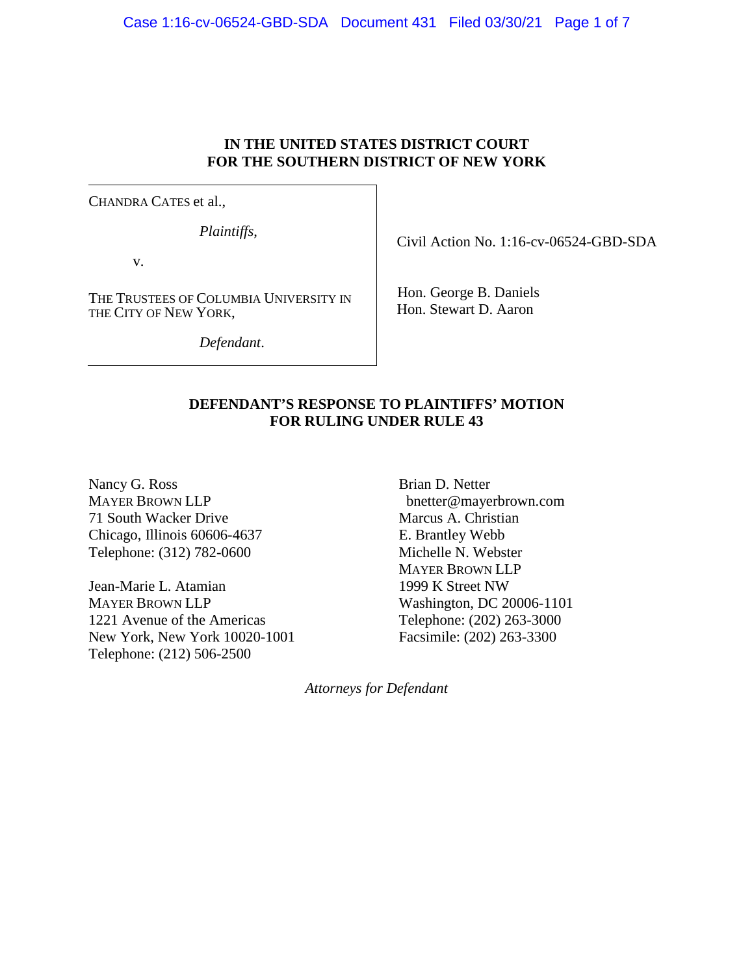## Case 1:16-cv-06524-GBD-SDA Document 431 Filed 03/30/21 Page 1 of 7

# **IN THE UNITED STATES DISTRICT COURT FOR THE SOUTHERN DISTRICT OF NEW YORK**

CHANDRA CATES et al.,

*Plaintiffs*,

v.

THE TRUSTEES OF COLUMBIA UNIVERSITY IN THE CITY OF NEW YORK,

*Defendant*.

Civil Action No. 1:16-cv-06524-GBD-SDA

Hon. George B. Daniels Hon. Stewart D. Aaron

## **DEFENDANT'S RESPONSE TO PLAINTIFFS' MOTION FOR RULING UNDER RULE 43**

Nancy G. Ross MAYER BROWN LLP 71 South Wacker Drive Chicago, Illinois 60606-4637 Telephone: (312) 782-0600

Jean-Marie L. Atamian MAYER BROWN LLP 1221 Avenue of the Americas New York, New York 10020-1001 Telephone: (212) 506-2500

Brian D. Netter bnetter@mayerbrown.com Marcus A. Christian E. Brantley Webb Michelle N. Webster MAYER BROWN LLP 1999 K Street NW Washington, DC 20006-1101 Telephone: (202) 263-3000 Facsimile: (202) 263-3300

*Attorneys for Defendant*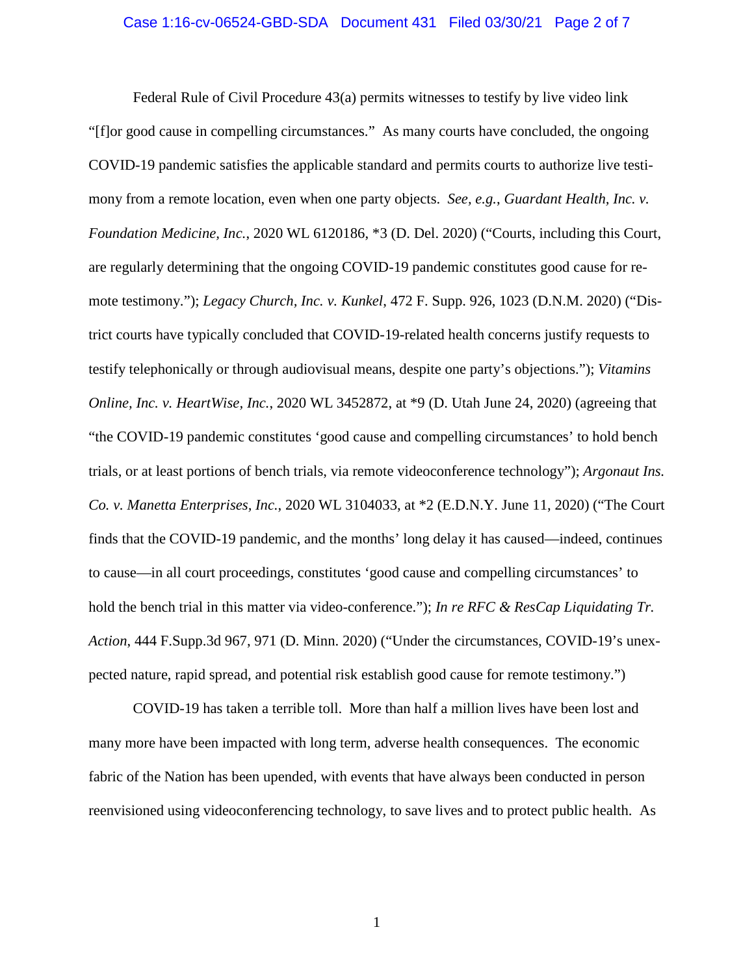#### Case 1:16-cv-06524-GBD-SDA Document 431 Filed 03/30/21 Page 2 of 7

Federal Rule of Civil Procedure 43(a) permits witnesses to testify by live video link "[f]or good cause in compelling circumstances." As many courts have concluded, the ongoing COVID-19 pandemic satisfies the applicable standard and permits courts to authorize live testimony from a remote location, even when one party objects. *See, e.g.*, *Guardant Health, Inc. v. Foundation Medicine, Inc.*, 2020 WL 6120186, \*3 (D. Del. 2020) ("Courts, including this Court, are regularly determining that the ongoing COVID-19 pandemic constitutes good cause for remote testimony."); *Legacy Church, Inc. v. Kunkel*, 472 F. Supp. 926, 1023 (D.N.M. 2020) ("District courts have typically concluded that COVID-19-related health concerns justify requests to testify telephonically or through audiovisual means, despite one party's objections."); *Vitamins Online, Inc. v. HeartWise, Inc.*, 2020 WL 3452872, at \*9 (D. Utah June 24, 2020) (agreeing that "the COVID-19 pandemic constitutes 'good cause and compelling circumstances' to hold bench trials, or at least portions of bench trials, via remote videoconference technology"); *Argonaut Ins. Co. v. Manetta Enterprises, Inc.*, 2020 WL 3104033, at \*2 (E.D.N.Y. June 11, 2020) ("The Court finds that the COVID-19 pandemic, and the months' long delay it has caused—indeed, continues to cause—in all court proceedings, constitutes 'good cause and compelling circumstances' to hold the bench trial in this matter via video-conference."); *In re RFC & ResCap Liquidating Tr. Action*, 444 F.Supp.3d 967, 971 (D. Minn. 2020) ("Under the circumstances, COVID-19's unexpected nature, rapid spread, and potential risk establish good cause for remote testimony.")

COVID-19 has taken a terrible toll. More than half a million lives have been lost and many more have been impacted with long term, adverse health consequences. The economic fabric of the Nation has been upended, with events that have always been conducted in person reenvisioned using videoconferencing technology, to save lives and to protect public health. As

1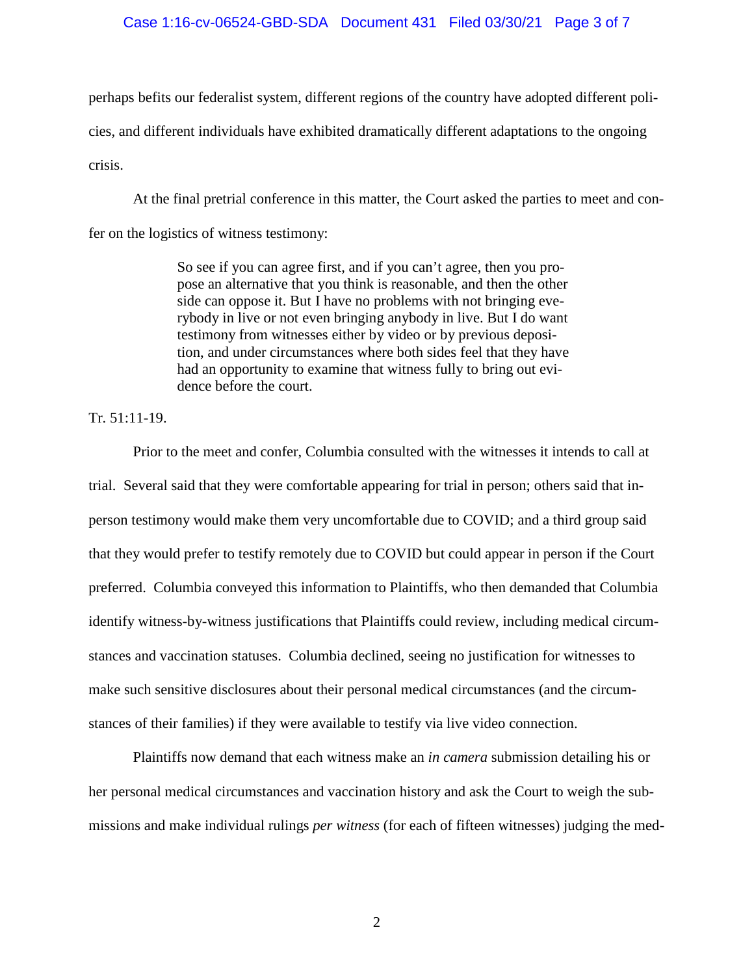#### Case 1:16-cv-06524-GBD-SDA Document 431 Filed 03/30/21 Page 3 of 7

perhaps befits our federalist system, different regions of the country have adopted different policies, and different individuals have exhibited dramatically different adaptations to the ongoing crisis.

At the final pretrial conference in this matter, the Court asked the parties to meet and confer on the logistics of witness testimony:

> So see if you can agree first, and if you can't agree, then you propose an alternative that you think is reasonable, and then the other side can oppose it. But I have no problems with not bringing everybody in live or not even bringing anybody in live. But I do want testimony from witnesses either by video or by previous deposition, and under circumstances where both sides feel that they have had an opportunity to examine that witness fully to bring out evidence before the court.

Tr. 51:11-19.

Prior to the meet and confer, Columbia consulted with the witnesses it intends to call at trial. Several said that they were comfortable appearing for trial in person; others said that inperson testimony would make them very uncomfortable due to COVID; and a third group said that they would prefer to testify remotely due to COVID but could appear in person if the Court preferred. Columbia conveyed this information to Plaintiffs, who then demanded that Columbia identify witness-by-witness justifications that Plaintiffs could review, including medical circumstances and vaccination statuses. Columbia declined, seeing no justification for witnesses to make such sensitive disclosures about their personal medical circumstances (and the circumstances of their families) if they were available to testify via live video connection.

Plaintiffs now demand that each witness make an *in camera* submission detailing his or her personal medical circumstances and vaccination history and ask the Court to weigh the submissions and make individual rulings *per witness* (for each of fifteen witnesses) judging the med-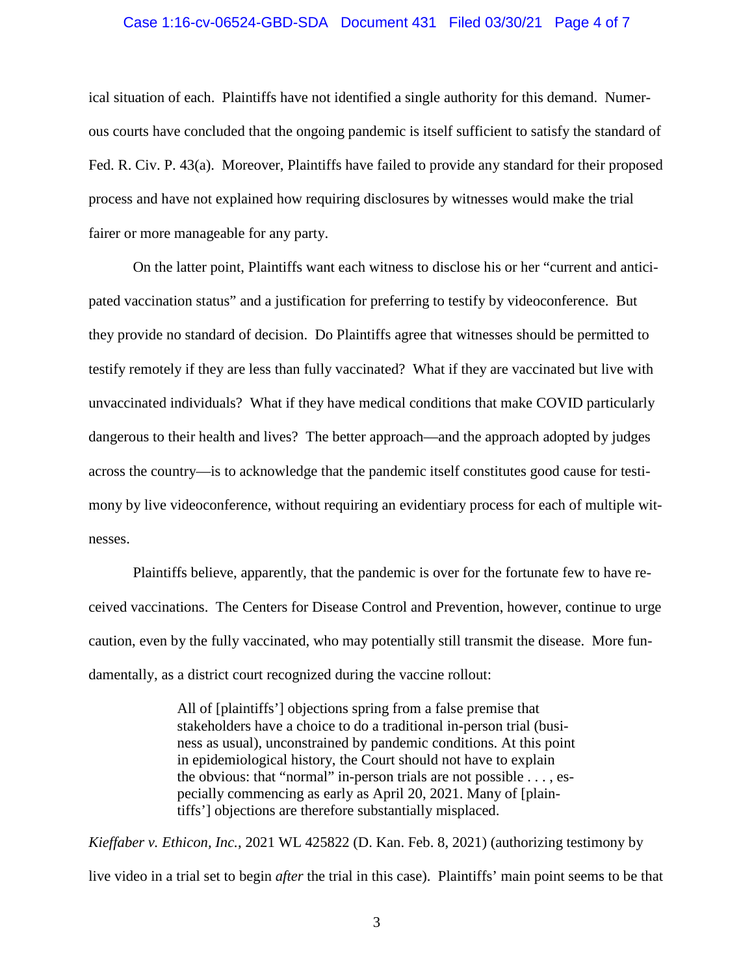#### Case 1:16-cv-06524-GBD-SDA Document 431 Filed 03/30/21 Page 4 of 7

ical situation of each. Plaintiffs have not identified a single authority for this demand. Numerous courts have concluded that the ongoing pandemic is itself sufficient to satisfy the standard of Fed. R. Civ. P. 43(a). Moreover, Plaintiffs have failed to provide any standard for their proposed process and have not explained how requiring disclosures by witnesses would make the trial fairer or more manageable for any party.

On the latter point, Plaintiffs want each witness to disclose his or her "current and anticipated vaccination status" and a justification for preferring to testify by videoconference. But they provide no standard of decision. Do Plaintiffs agree that witnesses should be permitted to testify remotely if they are less than fully vaccinated? What if they are vaccinated but live with unvaccinated individuals? What if they have medical conditions that make COVID particularly dangerous to their health and lives? The better approach—and the approach adopted by judges across the country—is to acknowledge that the pandemic itself constitutes good cause for testimony by live videoconference, without requiring an evidentiary process for each of multiple witnesses.

Plaintiffs believe, apparently, that the pandemic is over for the fortunate few to have received vaccinations. The Centers for Disease Control and Prevention, however, continue to urge caution, even by the fully vaccinated, who may potentially still transmit the disease. More fundamentally, as a district court recognized during the vaccine rollout:

> All of [plaintiffs'] objections spring from a false premise that stakeholders have a choice to do a traditional in-person trial (business as usual), unconstrained by pandemic conditions. At this point in epidemiological history, the Court should not have to explain the obvious: that "normal" in-person trials are not possible . . . , especially commencing as early as April 20, 2021. Many of [plaintiffs'] objections are therefore substantially misplaced.

*Kieffaber v. Ethicon, Inc.*, 2021 WL 425822 (D. Kan. Feb. 8, 2021) (authorizing testimony by live video in a trial set to begin *after* the trial in this case). Plaintiffs' main point seems to be that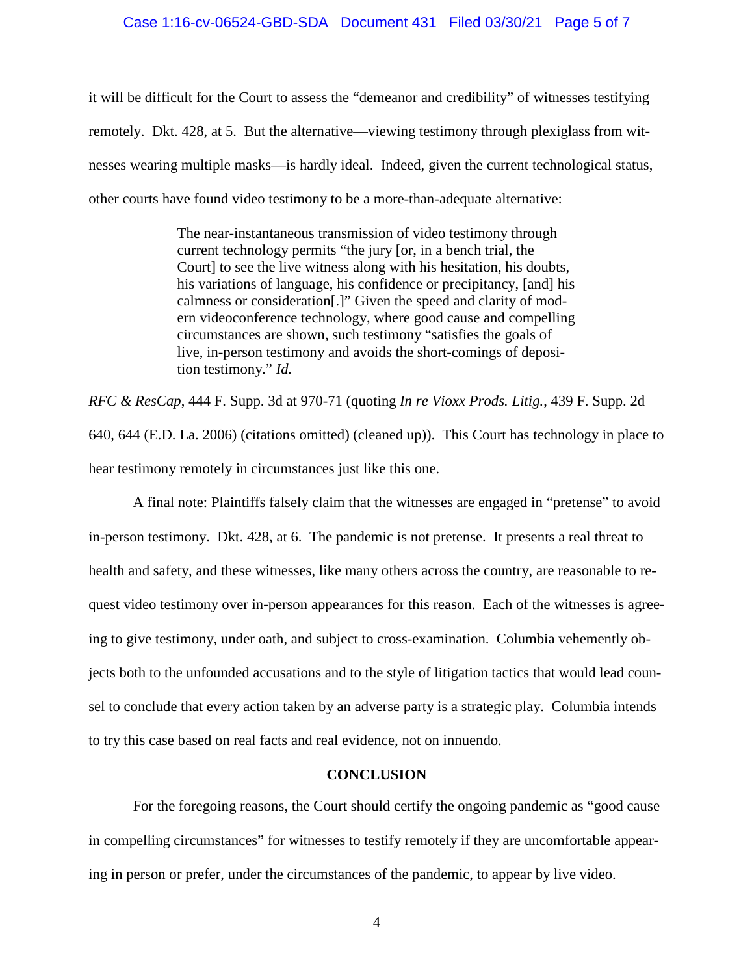#### Case 1:16-cv-06524-GBD-SDA Document 431 Filed 03/30/21 Page 5 of 7

it will be difficult for the Court to assess the "demeanor and credibility" of witnesses testifying remotely. Dkt. 428, at 5. But the alternative—viewing testimony through plexiglass from witnesses wearing multiple masks—is hardly ideal. Indeed, given the current technological status, other courts have found video testimony to be a more-than-adequate alternative:

> The near-instantaneous transmission of video testimony through current technology permits "the jury [or, in a bench trial, the Court] to see the live witness along with his hesitation, his doubts, his variations of language, his confidence or precipitancy, [and] his calmness or consideration[.]" Given the speed and clarity of modern videoconference technology, where good cause and compelling circumstances are shown, such testimony "satisfies the goals of live, in-person testimony and avoids the short-comings of deposition testimony." *Id.*

*RFC & ResCap*, 444 F. Supp. 3d at 970-71 (quoting *In re Vioxx Prods. Litig.*, 439 F. Supp. 2d 640, 644 (E.D. La. 2006) (citations omitted) (cleaned up)). This Court has technology in place to hear testimony remotely in circumstances just like this one.

A final note: Plaintiffs falsely claim that the witnesses are engaged in "pretense" to avoid in-person testimony. Dkt. 428, at 6. The pandemic is not pretense. It presents a real threat to health and safety, and these witnesses, like many others across the country, are reasonable to request video testimony over in-person appearances for this reason. Each of the witnesses is agreeing to give testimony, under oath, and subject to cross-examination. Columbia vehemently objects both to the unfounded accusations and to the style of litigation tactics that would lead counsel to conclude that every action taken by an adverse party is a strategic play. Columbia intends to try this case based on real facts and real evidence, not on innuendo.

### **CONCLUSION**

For the foregoing reasons, the Court should certify the ongoing pandemic as "good cause in compelling circumstances" for witnesses to testify remotely if they are uncomfortable appearing in person or prefer, under the circumstances of the pandemic, to appear by live video.

4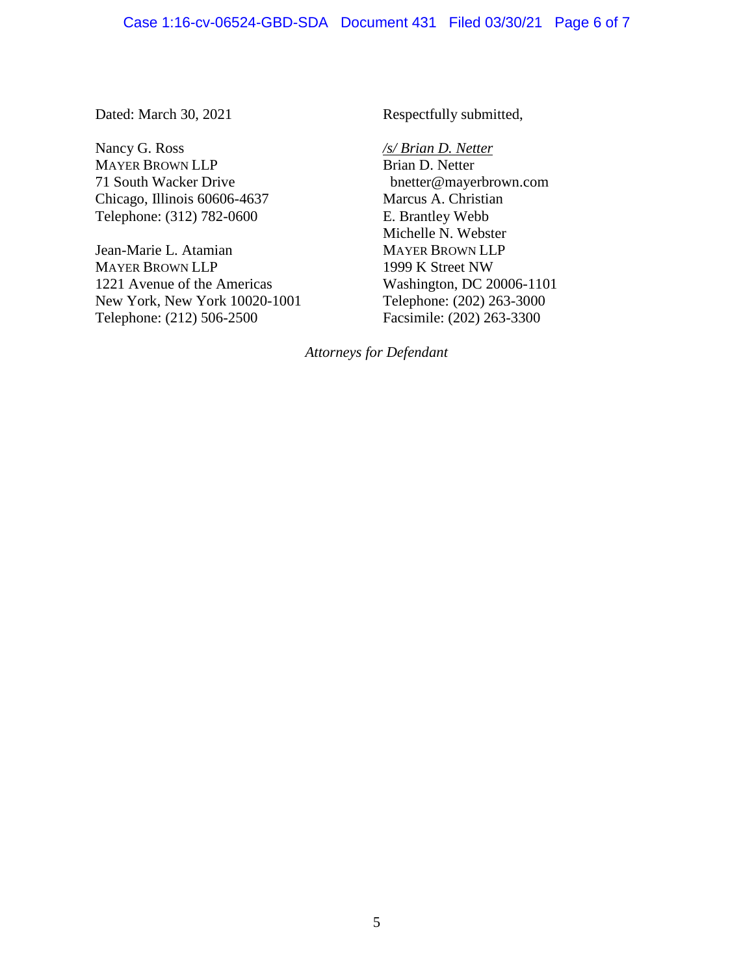Dated: March 30, 2021

Nancy G. Ross MAYER BROWN LLP 71 South Wacker Drive Chicago, Illinois 60606-4637 Telephone: (312) 782-0600

Jean-Marie L. Atamian MAYER BROWN LLP 1221 Avenue of the Americas New York, New York 10020-1001 Telephone: (212) 506-2500

Respectfully submitted,

*/s/ Brian D. Netter*  Brian D. Netter bnetter@mayerbrown.com Marcus A. Christian E. Brantley Webb Michelle N. Webster MAYER BROWN LLP 1999 K Street NW Washington, DC 20006-1101 Telephone: (202) 263-3000 Facsimile: (202) 263-3300

*Attorneys for Defendant*